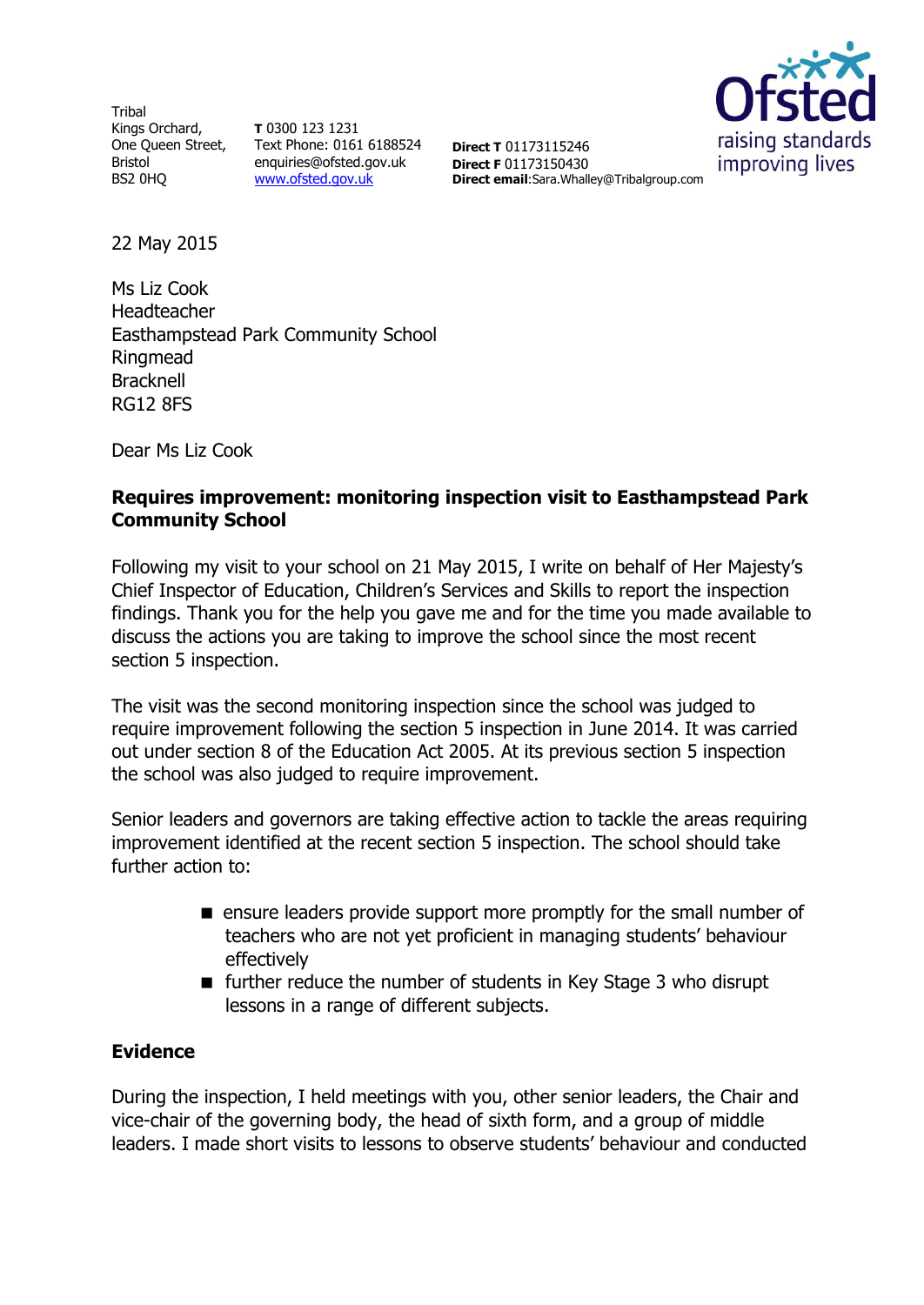**Tribal** Kings Orchard, Bristol BS2 0HQ

One Queen Street, Text Phone: 0161 6188524 **T** 0300 123 1231 enquiries@ofsted.gov.uk [www.ofsted.gov.uk](http://www.ofsted.gov.uk/)

raising standards improving lives

**Direct T** 01173115246 **Direct F** 01173150430 **Direct email**:Sara.Whalley@Tribalgroup.com

22 May 2015

Ms Liz Cook Headteacher Easthampstead Park Community School Ringmead **Bracknell** RG12 8FS

Dear Ms Liz Cook

### **Requires improvement: monitoring inspection visit to Easthampstead Park Community School**

Following my visit to your school on 21 May 2015, I write on behalf of Her Majesty's Chief Inspector of Education, Children's Services and Skills to report the inspection findings. Thank you for the help you gave me and for the time you made available to discuss the actions you are taking to improve the school since the most recent section 5 inspection.

The visit was the second monitoring inspection since the school was judged to require improvement following the section 5 inspection in June 2014. It was carried out under section 8 of the Education Act 2005. At its previous section 5 inspection the school was also judged to require improvement.

Senior leaders and governors are taking effective action to tackle the areas requiring improvement identified at the recent section 5 inspection. The school should take further action to:

- **EX** ensure leaders provide support more promptly for the small number of teachers who are not yet proficient in managing students' behaviour effectively
- $\blacksquare$  further reduce the number of students in Key Stage 3 who disrupt lessons in a range of different subjects.

### **Evidence**

During the inspection, I held meetings with you, other senior leaders, the Chair and vice-chair of the governing body, the head of sixth form, and a group of middle leaders. I made short visits to lessons to observe students' behaviour and conducted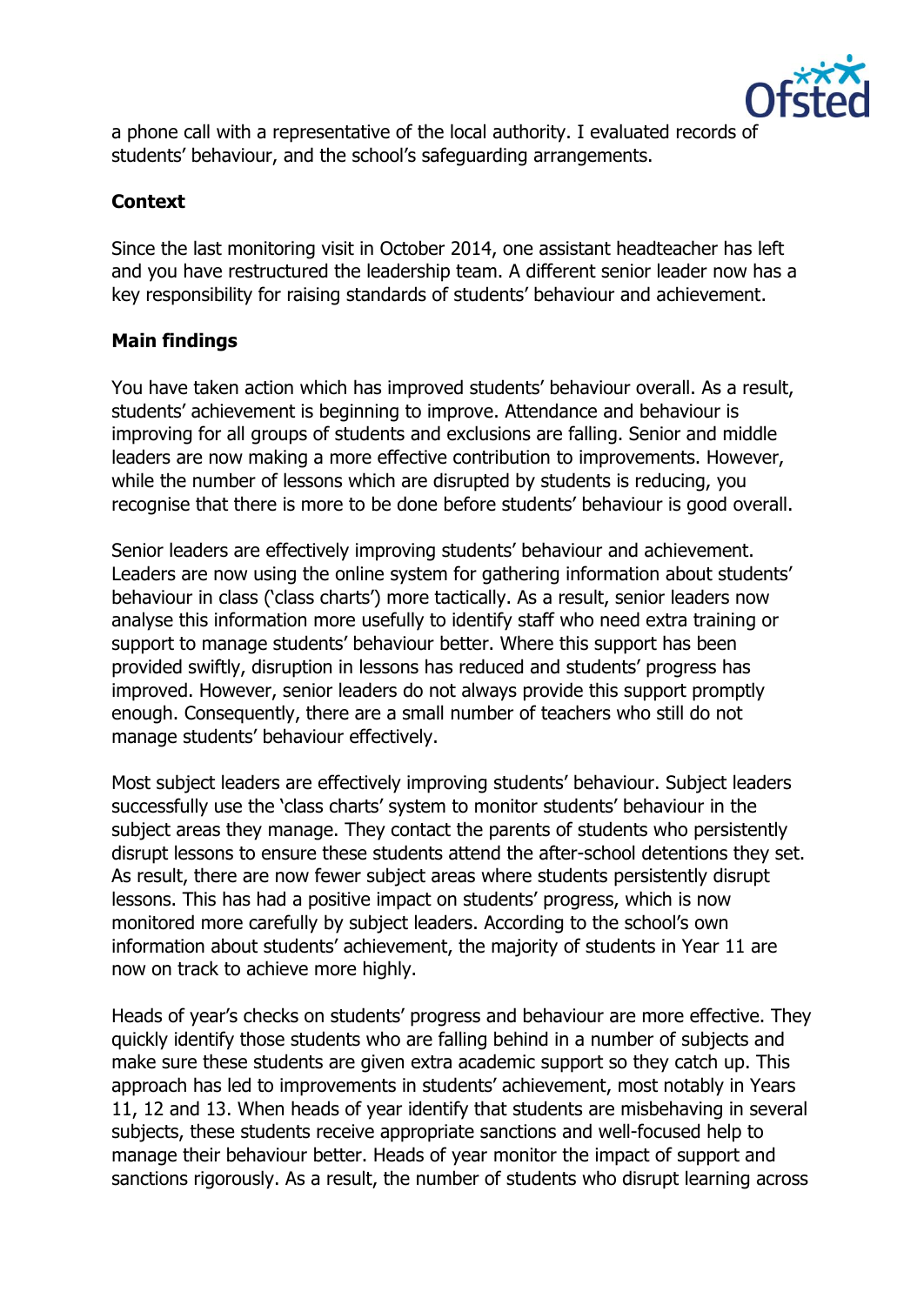

a phone call with a representative of the local authority. I evaluated records of students' behaviour, and the school's safeguarding arrangements.

# **Context**

Since the last monitoring visit in October 2014, one assistant headteacher has left and you have restructured the leadership team. A different senior leader now has a key responsibility for raising standards of students' behaviour and achievement.

### **Main findings**

You have taken action which has improved students' behaviour overall. As a result, students' achievement is beginning to improve. Attendance and behaviour is improving for all groups of students and exclusions are falling. Senior and middle leaders are now making a more effective contribution to improvements. However, while the number of lessons which are disrupted by students is reducing, you recognise that there is more to be done before students' behaviour is good overall.

Senior leaders are effectively improving students' behaviour and achievement. Leaders are now using the online system for gathering information about students' behaviour in class ('class charts') more tactically. As a result, senior leaders now analyse this information more usefully to identify staff who need extra training or support to manage students' behaviour better. Where this support has been provided swiftly, disruption in lessons has reduced and students' progress has improved. However, senior leaders do not always provide this support promptly enough. Consequently, there are a small number of teachers who still do not manage students' behaviour effectively.

Most subject leaders are effectively improving students' behaviour. Subject leaders successfully use the 'class charts' system to monitor students' behaviour in the subject areas they manage. They contact the parents of students who persistently disrupt lessons to ensure these students attend the after-school detentions they set. As result, there are now fewer subject areas where students persistently disrupt lessons. This has had a positive impact on students' progress, which is now monitored more carefully by subject leaders. According to the school's own information about students' achievement, the majority of students in Year 11 are now on track to achieve more highly.

Heads of year's checks on students' progress and behaviour are more effective. They quickly identify those students who are falling behind in a number of subjects and make sure these students are given extra academic support so they catch up. This approach has led to improvements in students' achievement, most notably in Years 11, 12 and 13. When heads of year identify that students are misbehaving in several subjects, these students receive appropriate sanctions and well-focused help to manage their behaviour better. Heads of year monitor the impact of support and sanctions rigorously. As a result, the number of students who disrupt learning across